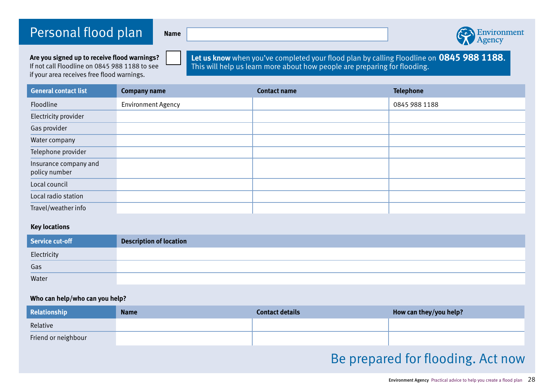## Personal flood plan **Name**



**Are you signed up to receive flood warnings?** If not call Floodline on 0845 988 1188 to see if your area receives free flood warnings.

**Let us know** when you've completed your flood plan by calling Floodline on **0845 988 1188**. This will help us learn more about how people are preparing for flooding.

| <b>General contact list</b>            | <b>Company name</b>       | <b>Contact name</b> | <b>Telephone</b> |
|----------------------------------------|---------------------------|---------------------|------------------|
| Floodline                              | <b>Environment Agency</b> |                     | 0845 988 1188    |
| Electricity provider                   |                           |                     |                  |
| Gas provider                           |                           |                     |                  |
| Water company                          |                           |                     |                  |
| Telephone provider                     |                           |                     |                  |
| Insurance company and<br>policy number |                           |                     |                  |
| Local council                          |                           |                     |                  |
| Local radio station                    |                           |                     |                  |
| Travel/weather info                    |                           |                     |                  |

### **Key locations**

| <b>Service cut-off</b> | <b>Description of location</b> |
|------------------------|--------------------------------|
| Electricity            |                                |
| Gas                    |                                |
| Water                  |                                |

#### **Who can help/who can you help?**

| Relationship        | <b>Name</b> | <b>Contact details</b> | How can they/you help? |
|---------------------|-------------|------------------------|------------------------|
| Relative            |             |                        |                        |
| Friend or neighbour |             |                        |                        |

# Be prepared for flooding. Act now